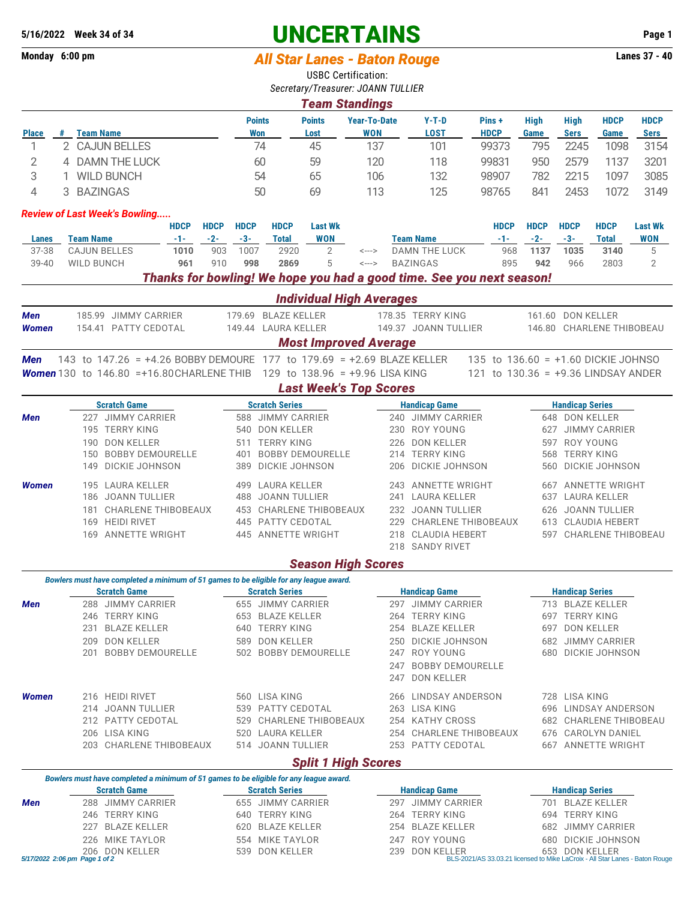## **5/16/2022** Week 34 of 34<br>
Monday 6:00 pm<br> **All Star Lanes - Raton Rouge**<br> **All Star Lanes 37 - 40**

**Monday 6:00 pm** *All Star Lanes - Baton Rouge* 

USBC Certification:

|                                                                       |                                                                                                               |                                                                                        |               |              |               |                                  | Secretary/Treasurer: JOANN TULLIER |                                   |                      |                                                                                                               |                                     |                            |                                          |                        |                     |  |
|-----------------------------------------------------------------------|---------------------------------------------------------------------------------------------------------------|----------------------------------------------------------------------------------------|---------------|--------------|---------------|----------------------------------|------------------------------------|-----------------------------------|----------------------|---------------------------------------------------------------------------------------------------------------|-------------------------------------|----------------------------|------------------------------------------|------------------------|---------------------|--|
|                                                                       |                                                                                                               |                                                                                        |               |              |               |                                  |                                    | <b>Team Standings</b>             |                      |                                                                                                               |                                     |                            |                                          |                        |                     |  |
|                                                                       |                                                                                                               |                                                                                        |               |              |               | <b>Points</b><br>Won             | <b>Points</b>                      | <b>Year-To-Date</b><br><b>WON</b> |                      | $Y-T-D$<br><b>LOST</b>                                                                                        | Pins +<br><b>HDCP</b>               | <b>High</b><br><b>Game</b> | <b>High</b>                              | <b>HDCP</b><br>Game    | <b>HDCP</b>         |  |
| <b>Place</b><br>1                                                     | # Team Name                                                                                                   | 2 CAJUN BELLES                                                                         |               |              |               | 74                               | Lost<br>45                         | 137                               |                      | 101                                                                                                           | 99373                               | 795                        | <b>Sers</b><br>2245                      | 1098                   | <b>Sers</b><br>3154 |  |
| 2                                                                     |                                                                                                               | 4 DAMN THE LUCK                                                                        |               |              |               |                                  | 59                                 | 120                               |                      | 118                                                                                                           | 99831                               | 950                        | 2579                                     | 1137                   | 3201                |  |
| 3                                                                     |                                                                                                               |                                                                                        |               |              | 60<br>54      |                                  |                                    |                                   |                      |                                                                                                               |                                     |                            |                                          |                        |                     |  |
|                                                                       | 1 WILD BUNCH<br>3 BAZINGAS                                                                                    |                                                                                        |               |              |               |                                  | 65                                 | 106                               |                      | 132                                                                                                           | 98907                               | 782                        | 2215                                     | 1097                   | 3085                |  |
| 4                                                                     |                                                                                                               |                                                                                        |               |              |               | 50                               | 69                                 | 113                               |                      | 125                                                                                                           | 98765                               | 841                        | 2453                                     | 1072                   | 3149                |  |
|                                                                       |                                                                                                               | <b>Review of Last Week's Bowling</b>                                                   |               |              |               |                                  |                                    |                                   |                      |                                                                                                               |                                     |                            |                                          |                        |                     |  |
|                                                                       |                                                                                                               |                                                                                        | <b>HDCP</b>   | <b>HDCP</b>  | <b>HDCP</b>   | <b>HDCP</b>                      | <b>Last Wk</b>                     |                                   |                      |                                                                                                               | <b>HDCP</b>                         | <b>HDCP</b>                | <b>HDCP</b>                              | <b>HDCP</b>            | <b>Last Wk</b>      |  |
| Lanes<br>37-38                                                        | <b>Team Name</b>                                                                                              | <b>CAJUN BELLES</b>                                                                    | $-1-$<br>1010 | $-2-$<br>903 | $-3-$<br>1007 | <b>Total</b><br>2920             | <b>WON</b><br>2                    | $\leftarrow$ $\rightarrow$        |                      | <b>Team Name</b><br>DAMN THE LUCK                                                                             | $-1-$<br>968                        | $-2-$<br>1137              | $-3-$<br>1035                            | <b>Total</b><br>3140   | <b>WON</b><br>5     |  |
| 39-40                                                                 | <b>WILD BUNCH</b>                                                                                             |                                                                                        | 961           | 910          | 998           | 2869                             | 5                                  | $\leftarrow\rightarrow$           |                      | <b>BAZINGAS</b>                                                                                               | 895                                 | 942                        | 966                                      | 2803                   | 2                   |  |
| Thanks for bowling! We hope you had a good time. See you next season! |                                                                                                               |                                                                                        |               |              |               |                                  |                                    |                                   |                      |                                                                                                               |                                     |                            |                                          |                        |                     |  |
|                                                                       |                                                                                                               |                                                                                        |               |              |               |                                  | <b>Individual High Averages</b>    |                                   |                      |                                                                                                               |                                     |                            |                                          |                        |                     |  |
| Men                                                                   |                                                                                                               | 185.99 JIMMY CARRIER                                                                   |               |              |               | 179.69 BLAZE KELLER              |                                    |                                   |                      | 178.35 TERRY KING                                                                                             |                                     |                            | 161.60 DON KELLER                        |                        |                     |  |
| <b>Women</b>                                                          |                                                                                                               | 154.41 PATTY CEDOTAL                                                                   |               |              |               | 149.44 LAURA KELLER              |                                    |                                   |                      | 149.37 JOANN TULLIER                                                                                          |                                     |                            | 146.80 CHARLENE THIBOBEAU                |                        |                     |  |
|                                                                       |                                                                                                               |                                                                                        |               |              |               |                                  | <b>Most Improved Average</b>       |                                   |                      |                                                                                                               |                                     |                            |                                          |                        |                     |  |
| Men                                                                   |                                                                                                               | 143 to 147.26 = +4.26 BOBBY DEMOURE 177 to 179.69 = +2.69 BLAZE KELLER                 |               |              |               |                                  |                                    |                                   |                      |                                                                                                               | 135 to 136.60 = +1.60 DICKIE JOHNSO |                            |                                          |                        |                     |  |
|                                                                       |                                                                                                               | <b>Women</b> 130 to 146.80 = +16.80 CHARLENE THIB 129 to 138.96 = +9.96 LISA KING      |               |              |               |                                  |                                    |                                   |                      |                                                                                                               | 121 to 130.36 = +9.36 LINDSAY ANDER |                            |                                          |                        |                     |  |
|                                                                       |                                                                                                               | <b>Scratch Game</b>                                                                    |               |              |               | <b>Scratch Series</b>            | <b>Last Week's Top Scores</b>      |                                   |                      | <b>Handicap Game</b>                                                                                          |                                     |                            |                                          |                        |                     |  |
| Men                                                                   |                                                                                                               | 227 JIMMY CARRIER                                                                      |               |              |               | 588 JIMMY CARRIER                |                                    |                                   |                      | 240 JIMMY CARRIER                                                                                             |                                     |                            | <b>Handicap Series</b><br>648 DON KELLER |                        |                     |  |
|                                                                       |                                                                                                               | 195 TERRY KING                                                                         |               |              |               | 540 DON KELLER                   |                                    |                                   |                      | 230 ROY YOUNG                                                                                                 |                                     |                            |                                          | 627 JIMMY CARRIER      |                     |  |
|                                                                       |                                                                                                               | 190 DON KELLER                                                                         |               |              |               | 511 TERRY KING                   |                                    |                                   |                      | 226 DON KELLER                                                                                                |                                     |                            | 597 ROY YOUNG                            |                        |                     |  |
|                                                                       | 150                                                                                                           | <b>BOBBY DEMOURELLE</b>                                                                |               |              |               |                                  | 401 BOBBY DEMOURELLE               |                                   |                      | 214 TERRY KING                                                                                                |                                     |                            | 568 TERRY KING                           |                        |                     |  |
|                                                                       | 149                                                                                                           | DICKIE JOHNSON                                                                         |               |              |               |                                  | 389 DICKIE JOHNSON                 |                                   |                      | 206 DICKIE JOHNSON                                                                                            |                                     |                            |                                          | 560 DICKIE JOHNSON     |                     |  |
| <b>Women</b>                                                          |                                                                                                               | 195 LAURA KELLER                                                                       |               |              |               | 499 LAURA KELLER                 |                                    |                                   |                      | 243 ANNETTE WRIGHT                                                                                            |                                     |                            |                                          | 667 ANNETTE WRIGHT     |                     |  |
|                                                                       |                                                                                                               | 186 JOANN TULLIER                                                                      |               |              |               | 488 JOANN TULLIER                |                                    |                                   |                      | 241 LAURA KELLER                                                                                              |                                     |                            |                                          | 637 LAURA KELLER       |                     |  |
|                                                                       |                                                                                                               | 181 CHARLENE THIBOBEAUX                                                                |               |              |               |                                  | 453 CHARLENE THIBOBEAUX            |                                   |                      | 232 JOANN TULLIER                                                                                             |                                     |                            |                                          | 626 JOANN TULLIER      |                     |  |
|                                                                       |                                                                                                               | 169 HEIDI RIVET                                                                        |               |              |               | 445 PATTY CEDOTAL                |                                    |                                   |                      | 229 CHARLENE THIBOBEAUX                                                                                       |                                     |                            |                                          | 613 CLAUDIA HEBERT     |                     |  |
|                                                                       |                                                                                                               | 169 ANNETTE WRIGHT                                                                     |               |              |               |                                  | 445 ANNETTE WRIGHT                 |                                   |                      | 218 CLAUDIA HEBERT<br>218 SANDY RIVET                                                                         |                                     |                            |                                          | 597 CHARLENE THIBOBEAU |                     |  |
|                                                                       |                                                                                                               |                                                                                        |               |              |               |                                  | <b>Season High Scores</b>          |                                   |                      |                                                                                                               |                                     |                            |                                          |                        |                     |  |
|                                                                       |                                                                                                               | Bowlers must have completed a minimum of 51 games to be eligible for any league award. |               |              |               |                                  |                                    |                                   |                      |                                                                                                               |                                     |                            |                                          |                        |                     |  |
|                                                                       |                                                                                                               | <b>Scratch Game</b>                                                                    |               |              |               | <b>Scratch Series</b>            |                                    |                                   |                      | <b>Handicap Game</b>                                                                                          |                                     |                            | <b>Handicap Series</b>                   |                        |                     |  |
| Men                                                                   |                                                                                                               | 288 JIMMY CARRIER                                                                      |               |              |               | 655 JIMMY CARRIER                |                                    |                                   |                      | 297 JIMMY CARRIER                                                                                             |                                     |                            |                                          | 713 BLAZE KELLER       |                     |  |
|                                                                       |                                                                                                               | 246 TERRY KING                                                                         |               |              |               | 653 BLAZE KELLER                 |                                    |                                   |                      | 264 TERRY KING                                                                                                |                                     |                            | 697 TERRY KING                           |                        |                     |  |
|                                                                       | 231<br>209                                                                                                    | <b>BLAZE KELLER</b><br><b>DON KELLER</b>                                               |               |              |               | 640 TERRY KING<br>589 DON KELLER |                                    |                                   |                      | 254 BLAZE KELLER<br>250 DICKIE JOHNSON                                                                        |                                     |                            | 697 DON KELLER                           | 682 JIMMY CARRIER      |                     |  |
|                                                                       | 201                                                                                                           | <b>BOBBY DEMOURELLE</b>                                                                |               |              |               |                                  | 502 BOBBY DEMOURELLE               |                                   |                      | 247 ROY YOUNG                                                                                                 |                                     |                            |                                          | 680 DICKIE JOHNSON     |                     |  |
|                                                                       |                                                                                                               |                                                                                        |               |              |               |                                  |                                    |                                   |                      | 247 BOBBY DEMOURELLE                                                                                          |                                     |                            |                                          |                        |                     |  |
|                                                                       |                                                                                                               |                                                                                        |               |              |               |                                  |                                    |                                   |                      | 247 DON KELLER                                                                                                |                                     |                            |                                          |                        |                     |  |
| Women                                                                 |                                                                                                               | 216 HEIDI RIVET                                                                        |               |              |               | 560 LISA KING                    |                                    |                                   |                      | 266 LINDSAY ANDERSON                                                                                          |                                     |                            | 728 LISA KING                            |                        |                     |  |
|                                                                       |                                                                                                               | 214 JOANN TULLIER                                                                      |               |              |               | 539 PATTY CEDOTAL                |                                    |                                   |                      | 263 LISA KING                                                                                                 |                                     |                            |                                          | 696 LINDSAY ANDERSON   |                     |  |
|                                                                       |                                                                                                               | 212 PATTY CEDOTAL                                                                      |               |              |               |                                  | 529 CHARLENE THIBOBEAUX            |                                   |                      | 254 KATHY CROSS                                                                                               |                                     |                            |                                          | 682 CHARLENE THIBOBEAU |                     |  |
|                                                                       |                                                                                                               | 206 LISA KING                                                                          |               |              |               | 520 LAURA KELLER                 |                                    |                                   |                      | 254 CHARLENE THIBOBEAUX                                                                                       |                                     |                            |                                          | 676 CAROLYN DANIEL     |                     |  |
|                                                                       |                                                                                                               | 203 CHARLENE THIBOBEAUX                                                                |               |              |               | 514 JOANN TULLIER                |                                    |                                   |                      | 253 PATTY CEDOTAL                                                                                             |                                     |                            |                                          | 667 ANNETTE WRIGHT     |                     |  |
|                                                                       |                                                                                                               |                                                                                        |               |              |               |                                  | <b>Split 1 High Scores</b>         |                                   |                      |                                                                                                               |                                     |                            |                                          |                        |                     |  |
|                                                                       | Bowlers must have completed a minimum of 51 games to be eligible for any league award.<br><b>Scratch Game</b> |                                                                                        |               |              |               | <b>Scratch Series</b>            |                                    |                                   | <b>Handicap Game</b> |                                                                                                               |                                     |                            | <b>Handicap Series</b>                   |                        |                     |  |
| Men                                                                   |                                                                                                               | 288 JIMMY CARRIER                                                                      |               |              |               | 655 JIMMY CARRIER                |                                    |                                   |                      | 297 JIMMY CARRIER                                                                                             |                                     |                            |                                          | 701 BLAZE KELLER       |                     |  |
|                                                                       |                                                                                                               | 246 TERRY KING                                                                         |               |              |               | 640 TERRY KING                   |                                    |                                   |                      | 264 TERRY KING                                                                                                |                                     |                            | 694 TERRY KING                           |                        |                     |  |
|                                                                       |                                                                                                               | 227 BLAZE KELLER                                                                       |               |              |               | 620 BLAZE KELLER                 |                                    |                                   |                      | 254 BLAZE KELLER                                                                                              |                                     |                            |                                          | 682 JIMMY CARRIER      |                     |  |
|                                                                       | 226                                                                                                           | MIKE TAYLOR                                                                            |               |              |               | 554 MIKE TAYLOR                  |                                    |                                   |                      | 247 ROY YOUNG                                                                                                 |                                     |                            |                                          | 680 DICKIE JOHNSON     |                     |  |
|                                                                       | 5/17/2022 2:06 pm Page 1 of 2                                                                                 | 206 DON KELLER                                                                         |               |              | 539           | DON KELLER                       |                                    |                                   |                      | 239 DON KELLER 653 DON KELLER<br>BLS-2021/AS 33.03.21 licensed to Mike LaCroix - All Star Lanes - Baton Rouge |                                     |                            |                                          |                        |                     |  |
|                                                                       |                                                                                                               |                                                                                        |               |              |               |                                  |                                    |                                   |                      |                                                                                                               |                                     |                            |                                          |                        |                     |  |